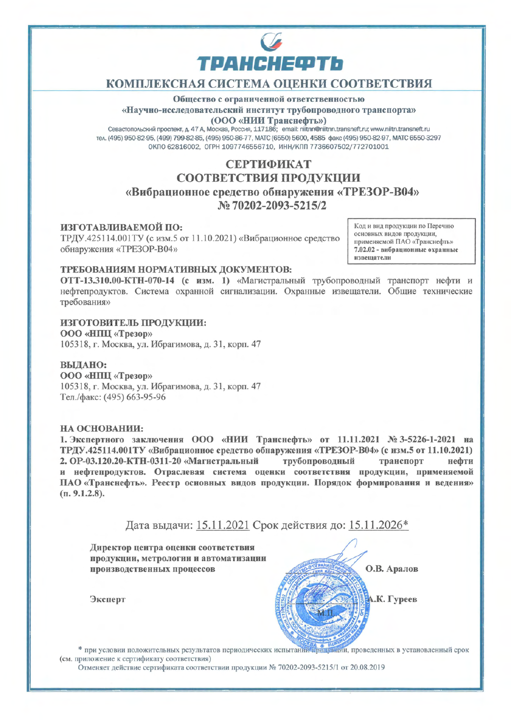

# КОМПЛЕКСНАЯ СИСТЕМА ОЦЕНКИ СООТВЕТСТВИЯ

### Общество с ограниченной ответственностью «Научно-исследовательский институт трубопроводного транспорта» (ООО «НИИ Транснефть»)

Севастопольский проспект, д. 47 А, Москва, Россия, 117186; email: nittnn@niitnn.transneft.ru; www.niitn.transneft.ru тел. (495) 950-82-95, (499) 799-82-85, (495) 950-86-77, МАТС (6550) 5600, 4585 факс (495) 950-82-97, МАТС 6550-3297 ОКПО 62816002, ОГРН 1097746556710, ИНН/КПП 7736607502/772701001

# СЕРТИФИКАТ СООТВЕТСТВИЯ ПРОДУКЦИИ «Вибрационное средство обнаружения «ТРЕЗОР-В04» No 70202-2093-5215/2

## ИЗГОТАВЛИВАЕМОЙ ПО:

ТРДУ.425114.001ТУ (с изм.5 от 11.10.2021) «Вибрационное средство обнаружения «ТРЕЗОР-В04»

Код и вид продукции по Перечню основных видов продукции, применяемой ПАО «Транснефть» 7.02.02 - вибрационные охранные извешатели

## ТРЕБОВАНИЯМ НОРМАТИВНЫХ ДОКУМЕНТОВ:

ОТТ-13.310.00-КТН-070-14 (с изм. 1) «Магистральный трубопроводный транспорт нефти и нефтепродуктов. Система охранной сигнализации. Охранные извещатели. Общие технические требования»

#### ИЗГОТОВИТЕЛЬ ПРОДУКЦИИ:

ООО «НПЦ «Трезор» 105318, г. Москва, ул. Ибрагимова, д. 31, корп. 47

#### ВЫДАНО:

ООО «НПЦ «Трезор» 105318, г. Москва, ул. Ибрагимова, д. 31, корп. 47 Тел./факс: (495) 663-95-96

#### НА ОСНОВАНИИ:

1. Экспертного заключения ООО «НИИ Транснефть» от 11.11.2021 № 3-5226-1-2021 на ТРДУ.425114.001ТУ «Вибрационное средство обнаружения «ТРЕЗОР-В04» (с изм.5 от 11.10.2021) 2. ОР-03.120.20-КТН-0311-20 «Магистральный трубопроводный транспорт нефти и нефтепродуктов. Отраслевая система оценки соответствия продукции, применяемой ПАО «Транснефть». Реестр основных видов продукции. Порядок формирования и ведения»  $(n. 9.1.2.8).$ 

Дата выдачи: 15.11.2021 Срок действия до: 15.11.2026\*

Директор центра оценки соответствия продукции, метрологии и автоматизации производственных процессов

Эксперт



\* при условии положительных результатов периодических испытаний протужнии, проведенных в установленный срок (см. приложение к сертификату соответствия)

Отменяет действие сертификата соответствии продукции № 70202-2093-5215/1 от 20.08.2019